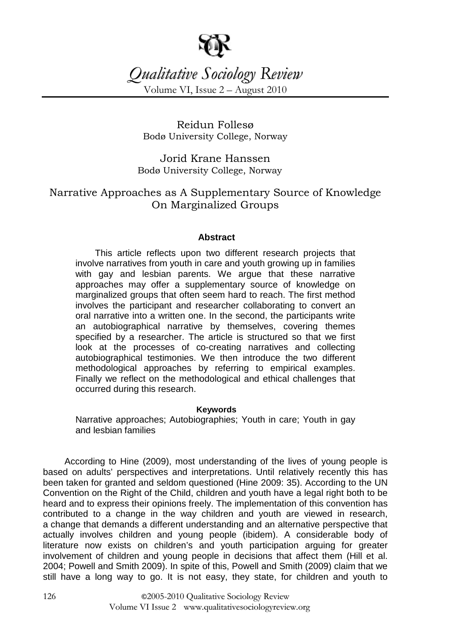

# *Qualitative Sociology Review*

Volume VI, Issue 2 – August 2010

Reidun Follesø Bodø University College, Norway

Jorid Krane Hanssen Bodø University College, Norway

# Narrative Approaches as A Supplementary Source of Knowledge On Marginalized Groups

# **Abstract**

This article reflects upon two different research projects that involve narratives from youth in care and youth growing up in families with gay and lesbian parents. We argue that these narrative approaches may offer a supplementary source of knowledge on marginalized groups that often seem hard to reach. The first method involves the participant and researcher collaborating to convert an oral narrative into a written one. In the second, the participants write an autobiographical narrative by themselves, covering themes specified by a researcher. The article is structured so that we first look at the processes of co-creating narratives and collecting autobiographical testimonies. We then introduce the two different methodological approaches by referring to empirical examples. Finally we reflect on the methodological and ethical challenges that occurred during this research.

### **Keywords**

Narrative approaches; Autobiographies; Youth in care; Youth in gay and lesbian families

According to Hine (2009), most understanding of the lives of young people is based on adults' perspectives and interpretations. Until relatively recently this has been taken for granted and seldom questioned (Hine 2009: 35). According to the UN Convention on the Right of the Child, children and youth have a legal right both to be heard and to express their opinions freely. The implementation of this convention has contributed to a change in the way children and youth are viewed in research, a change that demands a different understanding and an alternative perspective that actually involves children and young people (ibidem). A considerable body of literature now exists on children's and youth participation arguing for greater involvement of children and young people in decisions that affect them (Hill et al. 2004; Powell and Smith 2009). In spite of this, Powell and Smith (2009) claim that we still have a long way to go. It is not easy, they state, for children and youth to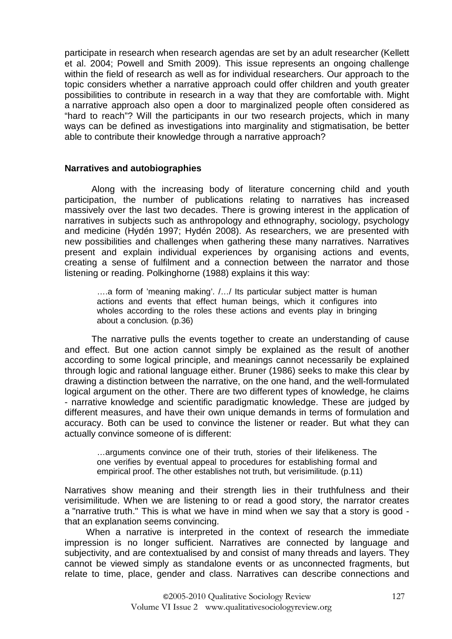participate in research when research agendas are set by an adult researcher (Kellett et al. 2004; Powell and Smith 2009). This issue represents an ongoing challenge within the field of research as well as for individual researchers. Our approach to the topic considers whether a narrative approach could offer children and youth greater possibilities to contribute in research in a way that they are comfortable with. Might a narrative approach also open a door to marginalized people often considered as "hard to reach"? Will the participants in our two research projects, which in many ways can be defined as investigations into marginality and stigmatisation, be better able to contribute their knowledge through a narrative approach?

### **Narratives and autobiographies**

Along with the increasing body of literature concerning child and youth participation, the number of publications relating to narratives has increased massively over the last two decades. There is growing interest in the application of narratives in subjects such as anthropology and ethnography, sociology, psychology and medicine (Hydén 1997; Hydén 2008). As researchers, we are presented with new possibilities and challenges when gathering these many narratives. Narratives present and explain individual experiences by organising actions and events, creating a sense of fulfilment and a connection between the narrator and those listening or reading. Polkinghorne (1988) explains it this way:

….a form of 'meaning making'. /…/ Its particular subject matter is human actions and events that effect human beings, which it configures into wholes according to the roles these actions and events play in bringing about a conclusion. (p.36)

The narrative pulls the events together to create an understanding of cause and effect. But one action cannot simply be explained as the result of another according to some logical principle, and meanings cannot necessarily be explained through logic and rational language either. Bruner (1986) seeks to make this clear by drawing a distinction between the narrative, on the one hand, and the well-formulated logical argument on the other. There are two different types of knowledge, he claims - narrative knowledge and scientific paradigmatic knowledge. These are judged by different measures, and have their own unique demands in terms of formulation and accuracy. Both can be used to convince the listener or reader. But what they can actually convince someone of is different:

…arguments convince one of their truth, stories of their lifelikeness. The one verifies by eventual appeal to procedures for establishing formal and empirical proof. The other establishes not truth, but verisimilitude. (p.11)

Narratives show meaning and their strength lies in their truthfulness and their verisimilitude. When we are listening to or read a good story, the narrator creates a "narrative truth." This is what we have in mind when we say that a story is good that an explanation seems convincing.

When a narrative is interpreted in the context of research the immediate impression is no longer sufficient. Narratives are connected by language and subjectivity, and are contextualised by and consist of many threads and layers. They cannot be viewed simply as standalone events or as unconnected fragments, but relate to time, place, gender and class. Narratives can describe connections and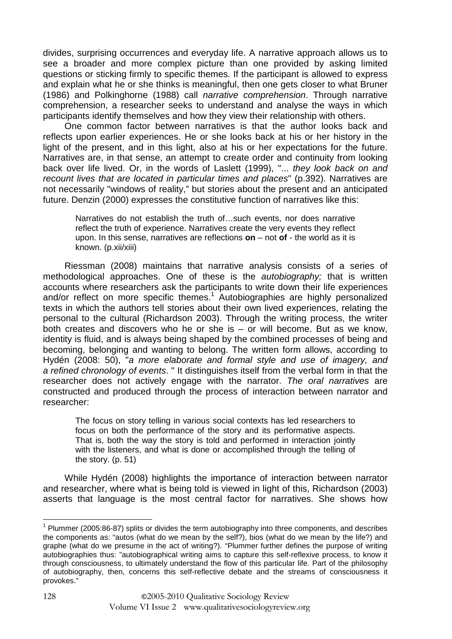divides, surprising occurrences and everyday life. A narrative approach allows us to see a broader and more complex picture than one provided by asking limited questions or sticking firmly to specific themes. If the participant is allowed to express and explain what he or she thinks is meaningful, then one gets closer to what Bruner (1986) and Polkinghorne (1988) call narrative comprehension. Through narrative comprehension, a researcher seeks to understand and analyse the ways in which participants identify themselves and how they view their relationship with others.

One common factor between narratives is that the author looks back and reflects upon earlier experiences. He or she looks back at his or her history in the light of the present, and in this light, also at his or her expectations for the future. Narratives are, in that sense, an attempt to create order and continuity from looking back over life lived. Or, in the words of Laslett (1999), "... they look back on and recount lives that are located in particular times and places" (p.392). Narratives are not necessarily "windows of reality," but stories about the present and an anticipated future. Denzin (2000) expresses the constitutive function of narratives like this:

Narratives do not establish the truth of…such events, nor does narrative reflect the truth of experience. Narratives create the very events they reflect upon. In this sense, narratives are reflections **on** – not **of** - the world as it is known. (p.xii/xiii)

Riessman (2008) maintains that narrative analysis consists of a series of methodological approaches. One of these is the autobiography; that is written accounts where researchers ask the participants to write down their life experiences and/or reflect on more specific themes.<sup>1</sup> Autobiographies are highly personalized texts in which the authors tell stories about their own lived experiences, relating the personal to the cultural (Richardson 2003). Through the writing process, the writer both creates and discovers who he or she is – or will become. But as we know, identity is fluid, and is always being shaped by the combined processes of being and becoming, belonging and wanting to belong. The written form allows, according to Hydén (2008: 50), "a more elaborate and formal style and use of imagery, and a refined chronology of events. " It distinguishes itself from the verbal form in that the researcher does not actively engage with the narrator. The oral narratives are constructed and produced through the process of interaction between narrator and researcher:

The focus on story telling in various social contexts has led researchers to focus on both the performance of the story and its performative aspects. That is, both the way the story is told and performed in interaction jointly with the listeners, and what is done or accomplished through the telling of the story. (p. 51)

While Hydén (2008) highlights the importance of interaction between narrator and researcher, where what is being told is viewed in light of this, Richardson (2003) asserts that language is the most central factor for narratives. She shows how

 $\overline{a}$  $1$  Plummer (2005:86-87) splits or divides the term autobiography into three components, and describes the components as: "autos (what do we mean by the self?), bios (what do we mean by the life?) and graphe (what do we presume in the act of writing?). "Plummer further defines the purpose of writing autobiographies thus: "autobiographical writing aims to capture this self-reflexive process, to know it through consciousness, to ultimately understand the flow of this particular life. Part of the philosophy of autobiography, then, concerns this self-reflective debate and the streams of consciousness it provokes."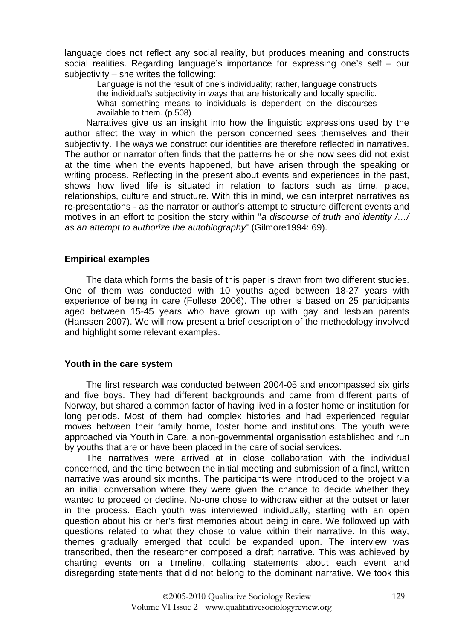language does not reflect any social reality, but produces meaning and constructs social realities. Regarding language's importance for expressing one's self – our subjectivity – she writes the following:

Language is not the result of one's individuality; rather, language constructs the individual's subjectivity in ways that are historically and locally specific. What something means to individuals is dependent on the discourses available to them. (p.508)

Narratives give us an insight into how the linguistic expressions used by the author affect the way in which the person concerned sees themselves and their subjectivity. The ways we construct our identities are therefore reflected in narratives. The author or narrator often finds that the patterns he or she now sees did not exist at the time when the events happened, but have arisen through the speaking or writing process. Reflecting in the present about events and experiences in the past, shows how lived life is situated in relation to factors such as time, place, relationships, culture and structure. With this in mind, we can interpret narratives as re-presentations - as the narrator or author's attempt to structure different events and motives in an effort to position the story within "a discourse of truth and identity /.../ as an attempt to authorize the autobiography" (Gilmore1994: 69).

### **Empirical examples**

The data which forms the basis of this paper is drawn from two different studies. One of them was conducted with 10 youths aged between 18-27 years with experience of being in care (Follesø 2006). The other is based on 25 participants aged between 15-45 years who have grown up with gay and lesbian parents (Hanssen 2007). We will now present a brief description of the methodology involved and highlight some relevant examples.

### **Youth in the care system**

The first research was conducted between 2004-05 and encompassed six girls and five boys. They had different backgrounds and came from different parts of Norway, but shared a common factor of having lived in a foster home or institution for long periods. Most of them had complex histories and had experienced regular moves between their family home, foster home and institutions. The youth were approached via Youth in Care, a non-governmental organisation established and run by youths that are or have been placed in the care of social services.

The narratives were arrived at in close collaboration with the individual concerned, and the time between the initial meeting and submission of a final, written narrative was around six months. The participants were introduced to the project via an initial conversation where they were given the chance to decide whether they wanted to proceed or decline. No-one chose to withdraw either at the outset or later in the process. Each youth was interviewed individually, starting with an open question about his or her's first memories about being in care. We followed up with questions related to what they chose to value within their narrative. In this way, themes gradually emerged that could be expanded upon. The interview was transcribed, then the researcher composed a draft narrative. This was achieved by charting events on a timeline, collating statements about each event and disregarding statements that did not belong to the dominant narrative. We took this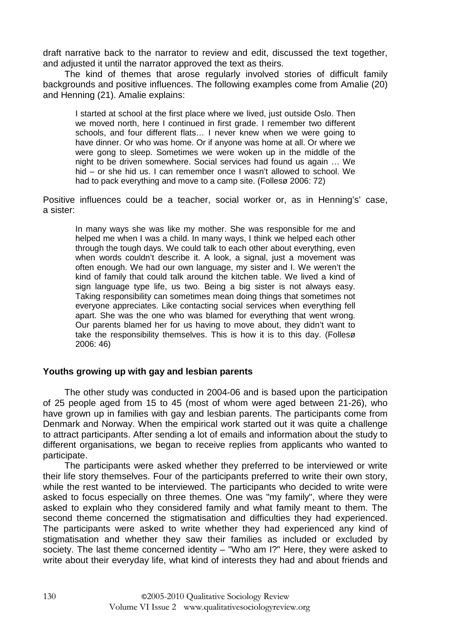draft narrative back to the narrator to review and edit, discussed the text together, and adjusted it until the narrator approved the text as theirs.

The kind of themes that arose regularly involved stories of difficult family backgrounds and positive influences. The following examples come from Amalie (20) and Henning (21). Amalie explains:

I started at school at the first place where we lived, just outside Oslo. Then we moved north, here I continued in first grade. I remember two different schools, and four different flats… I never knew when we were going to have dinner. Or who was home. Or if anyone was home at all. Or where we were gong to sleep. Sometimes we were woken up in the middle of the night to be driven somewhere. Social services had found us again … We hid – or she hid us. I can remember once I wasn't allowed to school. We had to pack everything and move to a camp site. (Follesø 2006: 72)

Positive influences could be a teacher, social worker or, as in Henning's' case, a sister:

In many ways she was like my mother. She was responsible for me and helped me when I was a child. In many ways, I think we helped each other through the tough days. We could talk to each other about everything, even when words couldn't describe it. A look, a signal, just a movement was often enough. We had our own language, my sister and I. We weren't the kind of family that could talk around the kitchen table. We lived a kind of sign language type life, us two. Being a big sister is not always easy. Taking responsibility can sometimes mean doing things that sometimes not everyone appreciates. Like contacting social services when everything fell apart. She was the one who was blamed for everything that went wrong. Our parents blamed her for us having to move about, they didn't want to take the responsibility themselves. This is how it is to this day. (Follesø 2006: 46)

# **Youths growing up with gay and lesbian parents**

The other study was conducted in 2004-06 and is based upon the participation of 25 people aged from 15 to 45 (most of whom were aged between 21-26), who have grown up in families with gay and lesbian parents. The participants come from Denmark and Norway. When the empirical work started out it was quite a challenge to attract participants. After sending a lot of emails and information about the study to different organisations, we began to receive replies from applicants who wanted to participate.

The participants were asked whether they preferred to be interviewed or write their life story themselves. Four of the participants preferred to write their own story, while the rest wanted to be interviewed. The participants who decided to write were asked to focus especially on three themes. One was "my family", where they were asked to explain who they considered family and what family meant to them. The second theme concerned the stigmatisation and difficulties they had experienced. The participants were asked to write whether they had experienced any kind of stigmatisation and whether they saw their families as included or excluded by society. The last theme concerned identity – "Who am I?" Here, they were asked to write about their everyday life, what kind of interests they had and about friends and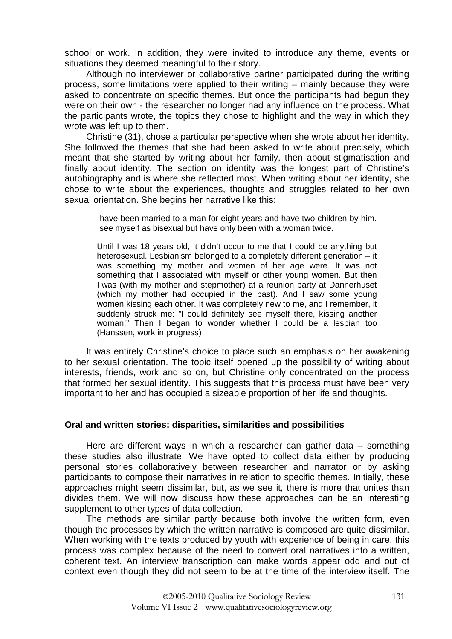school or work. In addition, they were invited to introduce any theme, events or situations they deemed meaningful to their story.

Although no interviewer or collaborative partner participated during the writing process, some limitations were applied to their writing – mainly because they were asked to concentrate on specific themes. But once the participants had begun they were on their own - the researcher no longer had any influence on the process. What the participants wrote, the topics they chose to highlight and the way in which they wrote was left up to them.

Christine (31), chose a particular perspective when she wrote about her identity. She followed the themes that she had been asked to write about precisely, which meant that she started by writing about her family, then about stigmatisation and finally about identity. The section on identity was the longest part of Christine's autobiography and is where she reflected most. When writing about her identity, she chose to write about the experiences, thoughts and struggles related to her own sexual orientation. She begins her narrative like this:

I have been married to a man for eight years and have two children by him. I see myself as bisexual but have only been with a woman twice.

Until I was 18 years old, it didn't occur to me that I could be anything but heterosexual. Lesbianism belonged to a completely different generation – it was something my mother and women of her age were. It was not something that I associated with myself or other young women. But then I was (with my mother and stepmother) at a reunion party at Dannerhuset (which my mother had occupied in the past). And I saw some young women kissing each other. It was completely new to me, and I remember, it suddenly struck me: "I could definitely see myself there, kissing another woman!" Then I began to wonder whether I could be a lesbian too (Hanssen, work in progress)

It was entirely Christine's choice to place such an emphasis on her awakening to her sexual orientation. The topic itself opened up the possibility of writing about interests, friends, work and so on, but Christine only concentrated on the process that formed her sexual identity. This suggests that this process must have been very important to her and has occupied a sizeable proportion of her life and thoughts.

#### **Oral and written stories: disparities, similarities and possibilities**

Here are different ways in which a researcher can gather data – something these studies also illustrate. We have opted to collect data either by producing personal stories collaboratively between researcher and narrator or by asking participants to compose their narratives in relation to specific themes. Initially, these approaches might seem dissimilar, but, as we see it, there is more that unites than divides them. We will now discuss how these approaches can be an interesting supplement to other types of data collection.

The methods are similar partly because both involve the written form, even though the processes by which the written narrative is composed are quite dissimilar. When working with the texts produced by youth with experience of being in care, this process was complex because of the need to convert oral narratives into a written, coherent text. An interview transcription can make words appear odd and out of context even though they did not seem to be at the time of the interview itself. The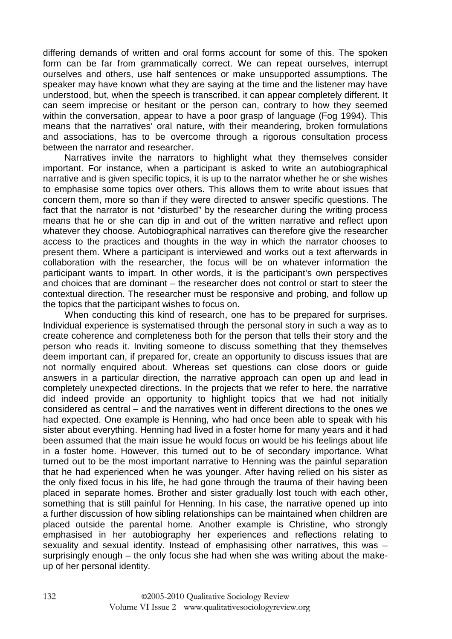differing demands of written and oral forms account for some of this. The spoken form can be far from grammatically correct. We can repeat ourselves, interrupt ourselves and others, use half sentences or make unsupported assumptions. The speaker may have known what they are saying at the time and the listener may have understood, but, when the speech is transcribed, it can appear completely different. It can seem imprecise or hesitant or the person can, contrary to how they seemed within the conversation, appear to have a poor grasp of language (Fog 1994). This means that the narratives' oral nature, with their meandering, broken formulations and associations, has to be overcome through a rigorous consultation process between the narrator and researcher.

Narratives invite the narrators to highlight what they themselves consider important. For instance, when a participant is asked to write an autobiographical narrative and is given specific topics, it is up to the narrator whether he or she wishes to emphasise some topics over others. This allows them to write about issues that concern them, more so than if they were directed to answer specific questions. The fact that the narrator is not "disturbed" by the researcher during the writing process means that he or she can dip in and out of the written narrative and reflect upon whatever they choose. Autobiographical narratives can therefore give the researcher access to the practices and thoughts in the way in which the narrator chooses to present them. Where a participant is interviewed and works out a text afterwards in collaboration with the researcher, the focus will be on whatever information the participant wants to impart. In other words, it is the participant's own perspectives and choices that are dominant – the researcher does not control or start to steer the contextual direction. The researcher must be responsive and probing, and follow up the topics that the participant wishes to focus on.

When conducting this kind of research, one has to be prepared for surprises. Individual experience is systematised through the personal story in such a way as to create coherence and completeness both for the person that tells their story and the person who reads it. Inviting someone to discuss something that they themselves deem important can, if prepared for, create an opportunity to discuss issues that are not normally enquired about. Whereas set questions can close doors or guide answers in a particular direction, the narrative approach can open up and lead in completely unexpected directions. In the projects that we refer to here, the narrative did indeed provide an opportunity to highlight topics that we had not initially considered as central – and the narratives went in different directions to the ones we had expected. One example is Henning, who had once been able to speak with his sister about everything. Henning had lived in a foster home for many years and it had been assumed that the main issue he would focus on would be his feelings about life in a foster home. However, this turned out to be of secondary importance. What turned out to be the most important narrative to Henning was the painful separation that he had experienced when he was younger. After having relied on his sister as the only fixed focus in his life, he had gone through the trauma of their having been placed in separate homes. Brother and sister gradually lost touch with each other, something that is still painful for Henning. In his case, the narrative opened up into a further discussion of how sibling relationships can be maintained when children are placed outside the parental home. Another example is Christine, who strongly emphasised in her autobiography her experiences and reflections relating to sexuality and sexual identity. Instead of emphasising other narratives, this was – surprisingly enough – the only focus she had when she was writing about the makeup of her personal identity.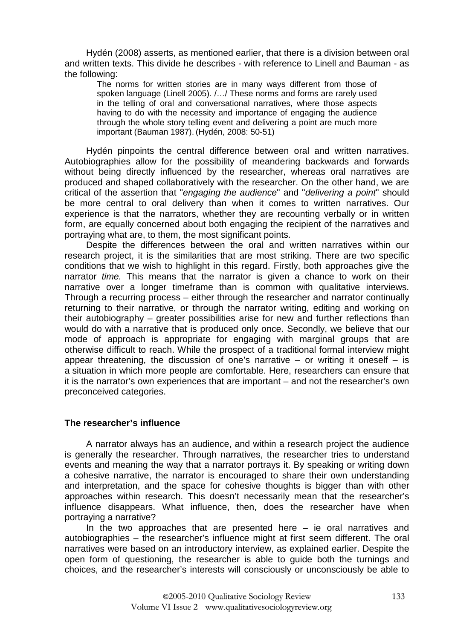Hydén (2008) asserts, as mentioned earlier, that there is a division between oral and written texts. This divide he describes - with reference to Linell and Bauman - as the following:

The norms for written stories are in many ways different from those of spoken language (Linell 2005). /…/ These norms and forms are rarely used in the telling of oral and conversational narratives, where those aspects having to do with the necessity and importance of engaging the audience through the whole story telling event and delivering a point are much more important (Bauman 1987). (Hydén, 2008: 50-51)

Hydén pinpoints the central difference between oral and written narratives. Autobiographies allow for the possibility of meandering backwards and forwards without being directly influenced by the researcher, whereas oral narratives are produced and shaped collaboratively with the researcher. On the other hand, we are critical of the assertion that "engaging the audience" and "delivering a point" should be more central to oral delivery than when it comes to written narratives. Our experience is that the narrators, whether they are recounting verbally or in written form, are equally concerned about both engaging the recipient of the narratives and portraying what are, to them, the most significant points.

Despite the differences between the oral and written narratives within our research project, it is the similarities that are most striking. There are two specific conditions that we wish to highlight in this regard. Firstly, both approaches give the narrator time. This means that the narrator is given a chance to work on their narrative over a longer timeframe than is common with qualitative interviews. Through a recurring process – either through the researcher and narrator continually returning to their narrative, or through the narrator writing, editing and working on their autobiography – greater possibilities arise for new and further reflections than would do with a narrative that is produced only once. Secondly, we believe that our mode of approach is appropriate for engaging with marginal groups that are otherwise difficult to reach. While the prospect of a traditional formal interview might appear threatening, the discussion of one's narrative – or writing it oneself – is a situation in which more people are comfortable. Here, researchers can ensure that it is the narrator's own experiences that are important – and not the researcher's own preconceived categories.

### **The researcher's influence**

A narrator always has an audience, and within a research project the audience is generally the researcher. Through narratives, the researcher tries to understand events and meaning the way that a narrator portrays it. By speaking or writing down a cohesive narrative, the narrator is encouraged to share their own understanding and interpretation, and the space for cohesive thoughts is bigger than with other approaches within research. This doesn't necessarily mean that the researcher's influence disappears. What influence, then, does the researcher have when portraying a narrative?

In the two approaches that are presented here  $-$  ie oral narratives and autobiographies – the researcher's influence might at first seem different. The oral narratives were based on an introductory interview, as explained earlier. Despite the open form of questioning, the researcher is able to guide both the turnings and choices, and the researcher's interests will consciously or unconsciously be able to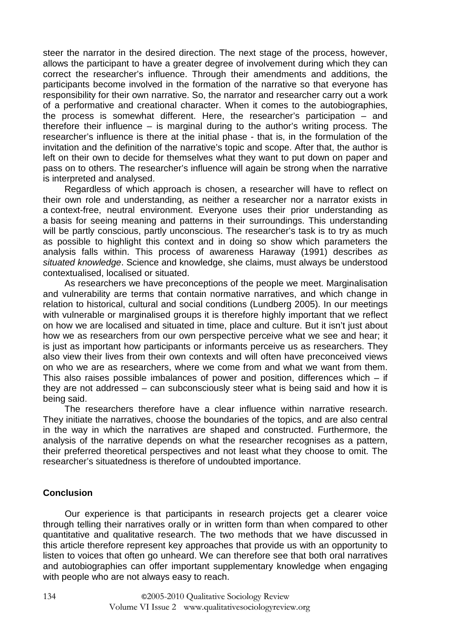steer the narrator in the desired direction. The next stage of the process, however, allows the participant to have a greater degree of involvement during which they can correct the researcher's influence. Through their amendments and additions, the participants become involved in the formation of the narrative so that everyone has responsibility for their own narrative. So, the narrator and researcher carry out a work of a performative and creational character. When it comes to the autobiographies, the process is somewhat different. Here, the researcher's participation – and therefore their influence – is marginal during to the author's writing process. The researcher's influence is there at the initial phase - that is, in the formulation of the invitation and the definition of the narrative's topic and scope. After that, the author is left on their own to decide for themselves what they want to put down on paper and pass on to others. The researcher's influence will again be strong when the narrative is interpreted and analysed.

Regardless of which approach is chosen, a researcher will have to reflect on their own role and understanding, as neither a researcher nor a narrator exists in a context-free, neutral environment. Everyone uses their prior understanding as a basis for seeing meaning and patterns in their surroundings. This understanding will be partly conscious, partly unconscious. The researcher's task is to try as much as possible to highlight this context and in doing so show which parameters the analysis falls within. This process of awareness Haraway (1991) describes as situated knowledge. Science and knowledge, she claims, must always be understood contextualised, localised or situated.

As researchers we have preconceptions of the people we meet. Marginalisation and vulnerability are terms that contain normative narratives, and which change in relation to historical, cultural and social conditions (Lundberg 2005). In our meetings with vulnerable or marginalised groups it is therefore highly important that we reflect on how we are localised and situated in time, place and culture. But it isn't just about how we as researchers from our own perspective perceive what we see and hear; it is just as important how participants or informants perceive us as researchers. They also view their lives from their own contexts and will often have preconceived views on who we are as researchers, where we come from and what we want from them. This also raises possible imbalances of power and position, differences which – if they are not addressed – can subconsciously steer what is being said and how it is being said.

The researchers therefore have a clear influence within narrative research. They initiate the narratives, choose the boundaries of the topics, and are also central in the way in which the narratives are shaped and constructed. Furthermore, the analysis of the narrative depends on what the researcher recognises as a pattern, their preferred theoretical perspectives and not least what they choose to omit. The researcher's situatedness is therefore of undoubted importance.

# **Conclusion**

Our experience is that participants in research projects get a clearer voice through telling their narratives orally or in written form than when compared to other quantitative and qualitative research. The two methods that we have discussed in this article therefore represent key approaches that provide us with an opportunity to listen to voices that often go unheard. We can therefore see that both oral narratives and autobiographies can offer important supplementary knowledge when engaging with people who are not always easy to reach.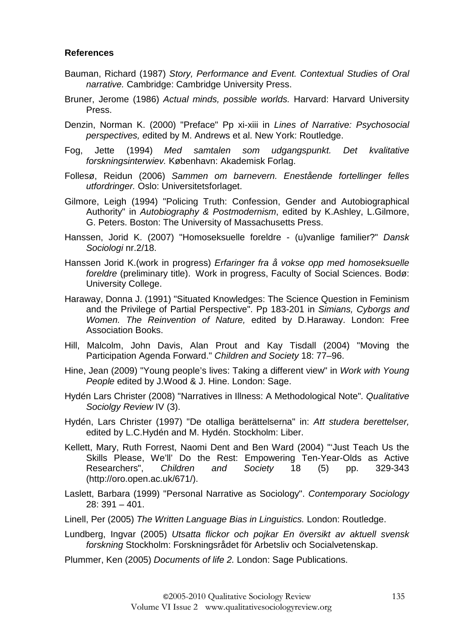# **References**

- Bauman, Richard (1987) Story, Performance and Event. Contextual Studies of Oral narrative. Cambridge: Cambridge University Press.
- Bruner, Jerome (1986) Actual minds, possible worlds. Harvard: Harvard University Press.
- Denzin, Norman K. (2000) "Preface" Pp xi-xiii in Lines of Narrative: Psychosocial perspectives, edited by M. Andrews et al. New York: Routledge.
- Fog, Jette (1994) Med samtalen som udgangspunkt. Det kvalitative forskningsinterwiev. København: Akademisk Forlag.
- Follesø, Reidun (2006) Sammen om barnevern. Enestående fortellinger felles utfordringer. Oslo: Universitetsforlaget.
- Gilmore, Leigh (1994) "Policing Truth: Confession, Gender and Autobiographical Authority" in Autobiography & Postmodernism, edited by K.Ashley, L.Gilmore, G. Peters. Boston: The University of Massachusetts Press.
- Hanssen, Jorid K. (2007) "Homoseksuelle foreldre (u)vanlige familier?" Dansk Sociologi nr.2/18.
- Hanssen Jorid K.(work in progress) Erfaringer fra å vokse opp med homoseksuelle foreldre (preliminary title). Work in progress, Faculty of Social Sciences. Bodø: University College.
- Haraway, Donna J. (1991) "Situated Knowledges: The Science Question in Feminism and the Privilege of Partial Perspective". Pp 183-201 in Simians, Cyborgs and Women. The Reinvention of Nature, edited by D.Haraway. London: Free Association Books.
- Hill, Malcolm, John Davis, Alan Prout and Kay Tisdall (2004) "Moving the Participation Agenda Forward." Children and Society 18: 77–96.
- Hine, Jean (2009) "Young people's lives: Taking a different view" in Work with Young People edited by J.Wood & J. Hine. London: Sage.
- Hydén Lars Christer (2008) "Narratives in Illness: A Methodological Note". Qualitative Sociolgy Review IV (3).
- Hydén, Lars Christer (1997) "De otalliga berättelserna" in: Att studera berettelser, edited by L.C.Hydén and M. Hydén. Stockholm: Liber.
- Kellett, Mary, Ruth Forrest, Naomi Dent and Ben Ward (2004) "'Just Teach Us the Skills Please, We'll' Do the Rest: Empowering Ten-Year-Olds as Active Researchers", Children and Society 18 (5) pp. 329-343 (http://oro.open.ac.uk/671/).
- Laslett, Barbara (1999) "Personal Narrative as Sociology". Contemporary Sociology 28: 391 – 401.
- Linell, Per (2005) The Written Language Bias in Linguistics. London: Routledge.
- Lundberg, Ingvar (2005) Utsatta flickor och pojkar En översikt av aktuell svensk forskning Stockholm: Forskningsrådet för Arbetsliv och Socialvetenskap.
- Plummer, Ken (2005) Documents of life 2. London: Sage Publications.